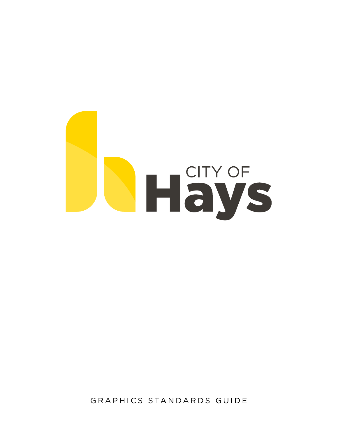

GRAPHICS STANDARDS GUIDE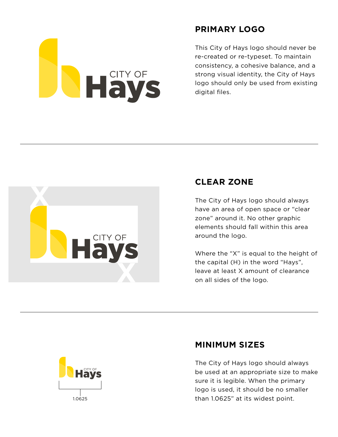

## **PRIMARY LOGO**

This City of Hays logo should never be re-created or re-typeset. To maintain consistency, a cohesive balance, and a strong visual identity, the City of Hays logo should only be used from existing digital files.



## **CLEAR ZONE**

The City of Hays logo should always have an area of open space or "clear zone" around it. No other graphic elements should fall within this area around the logo.

Where the "X" is equal to the height of the capital (H) in the word "Hays", leave at least X amount of clearance on all sides of the logo.



## **MINIMUM SIZES**

The City of Hays logo should always be used at an appropriate size to make sure it is legible. When the primary logo is used, it should be no smaller 1.0625 than 1.0625" at its widest point.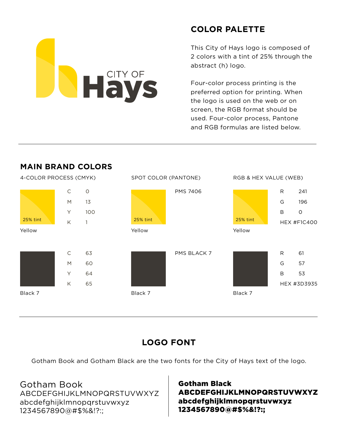# Hays

# **COLOR PALETTE**

This City of Hays logo is composed of 2 colors with a tint of 25% through the abstract (h) logo.

Four-color process printing is the preferred option for printing. When the logo is used on the web or on screen, the RGB format should be used. Four-color process, Pantone and RGB formulas are listed below.



## **LOGO FONT**

Gotham Book and Gotham Black are the two fonts for the City of Hays text of the logo.

## Gotham Book

ABCDEFGHIJKLMNOPQRSTUVWXYZ abcdefghijklmnopqrstuvwxyz 1234567890@#\$%&!?:;

## Gotham Black ABCDEFGHIJKLMNOPQRSTUVWXYZ abcdefghijklmnopqrstuvwxyz 1234567890@#\$%&!?:;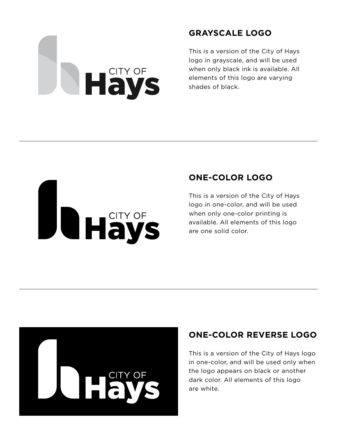# **NHAVS**

## **GRAYSCALE LOGO**

This is a version of the City of Hays logo in grayscale, and will be used when only black ink is available. All elements of this logo are varying shades of black.

# **THAYS**

## **ONE-COLOR LOGO**

This is a version of the City of Hays logo in one-color, and will be used when only one-color printing is available. All elements of this logo are one solid color.



# **ONE-COLOR REVERSE LOGO**

This is a version of the City of Hays logo in one-color, and will be used only when the logo appears on black or another dark color. All elements of this logo are white.